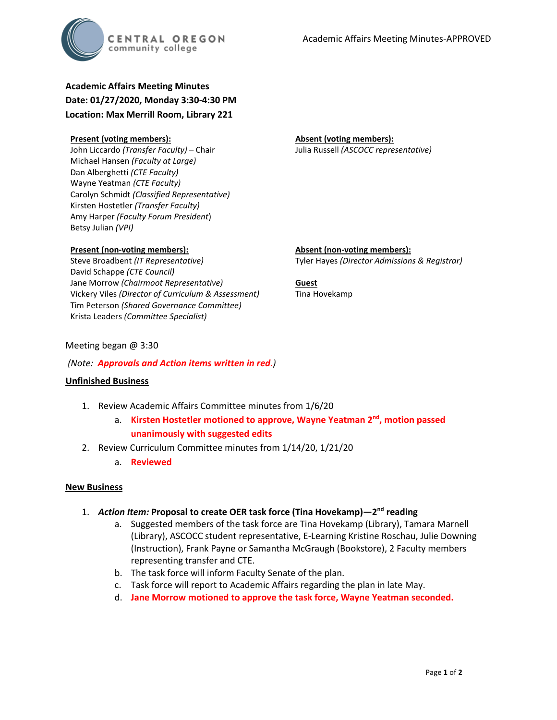

**Academic Affairs Meeting Minutes Date: 01/27/2020, Monday 3:30-4:30 PM Location: Max Merrill Room, Library 221**

## **Present (voting members):**

John Liccardo *(Transfer Faculty)* – Chair Michael Hansen *(Faculty at Large)* Dan Alberghetti *(CTE Faculty)* Wayne Yeatman *(CTE Faculty)* Carolyn Schmidt *(Classified Representative)* Kirsten Hostetler *(Transfer Faculty)* Amy Harper *(Faculty Forum President*) Betsy Julian *(VPI)*

# **Present (non-voting members):**

Steve Broadbent *(IT Representative)* David Schappe *(CTE Council)* Jane Morrow *(Chairmoot Representative)* Vickery Viles *(Director of Curriculum & Assessment)* Tim Peterson *(Shared Governance Committee)* Krista Leaders *(Committee Specialist)*

**Absent (voting members):** Julia Russell *(ASCOCC representative)*

**Absent (non-voting members):** Tyler Hayes *(Director Admissions & Registrar)*

**Guest** Tina Hovekamp

# Meeting began @ 3:30

## *(Note: Approvals and Action items written in red.)*

### **Unfinished Business**

- 1. Review Academic Affairs Committee minutes from 1/6/20
	- a. **Kirsten Hostetler motioned to approve, Wayne Yeatman 2nd, motion passed unanimously with suggested edits**
- 2. Review Curriculum Committee minutes from 1/14/20, 1/21/20
	- a. **Reviewed**

### **New Business**

- 1. *Action Item:* **Proposal to create OER task force (Tina Hovekamp)—2nd reading** 
	- a. Suggested members of the task force are Tina Hovekamp (Library), Tamara Marnell (Library), ASCOCC student representative, E-Learning Kristine Roschau, Julie Downing (Instruction), Frank Payne or Samantha McGraugh (Bookstore), 2 Faculty members representing transfer and CTE.
	- b. The task force will inform Faculty Senate of the plan.
	- c. Task force will report to Academic Affairs regarding the plan in late May.
	- d. **Jane Morrow motioned to approve the task force, Wayne Yeatman seconded.**